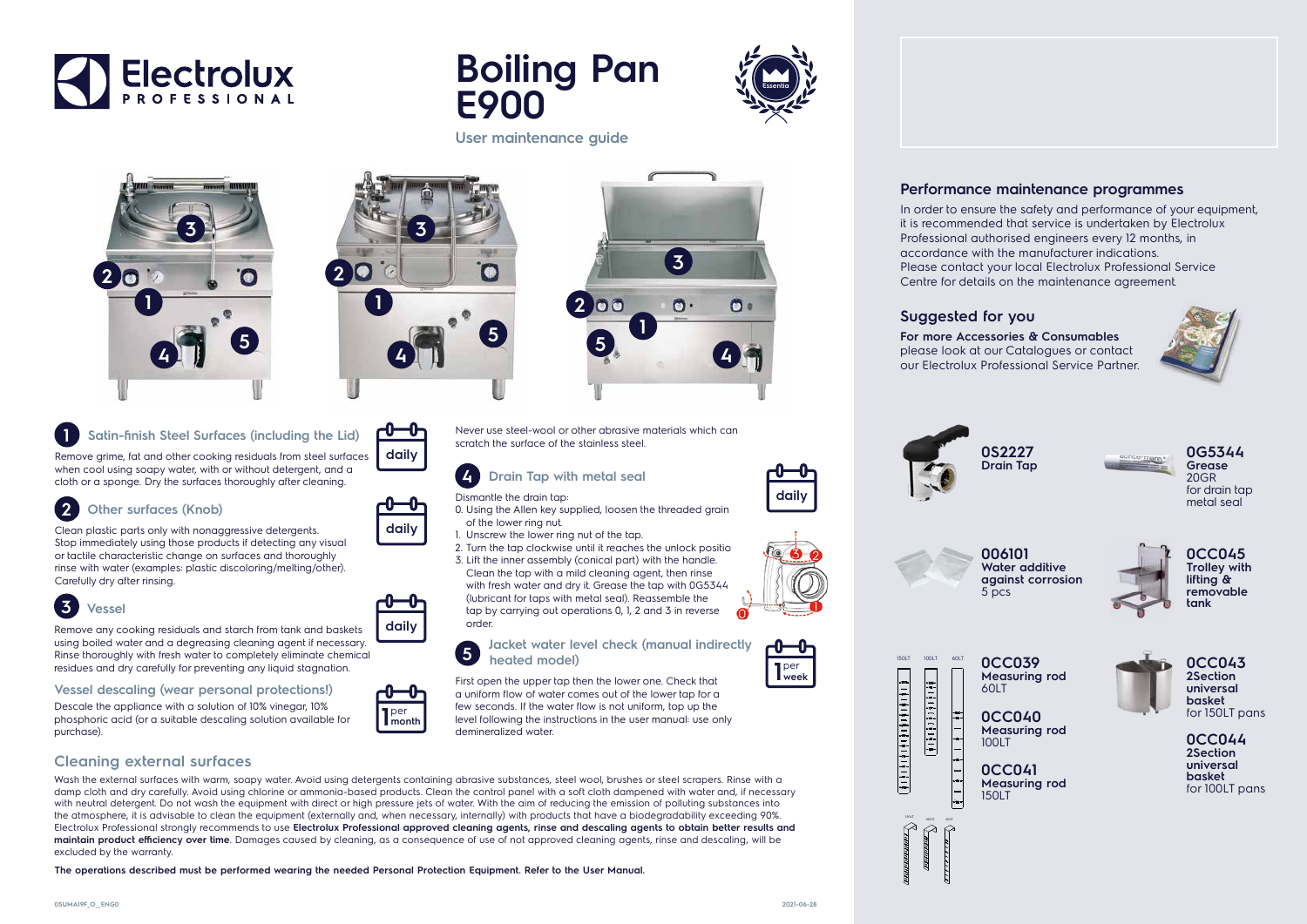





Wash the external surfaces with warm, soapy water. Avoid using detergents containing abrasive substances, steel wool, brushes or steel scrapers. Rinse with a damp cloth and dry carefully. Avoid using chlorine or ammonia-based products. Clean the control panel with a soft cloth dampened with water and, if necessary with neutral detergent. Do not wash the equipment with direct or high pressure jets of water. With the aim of reducing the emission of polluting substances into the atmosphere, it is advisable to clean the equipment (externally and, when necessary, internally) with products that have a biodegradability exceeding 90%. Electrolux Professional strongly recommends to use **Electrolux Professional approved cleaning agents, rinse and descaling agents to obtain better results and maintain product efficiency over time**. Damages caused by cleaning, as a consequence of use of not approved cleaning agents, rinse and descaling, will be excluded by the warranty.

**The operations described must be performed wearing the needed Personal Protection Equipment. Refer to the User Manual.**



### **Suggested for you**

**For more Accessories & Consumables**  please look at our Catalogues or contact our Electrolux Professional Service Partner.





### **Performance maintenance programmes**

In order to ensure the safety and performance of your equipment, it is recommended that service is undertaken by Electrolux Professional authorised engineers every 12 months, in accordance with the manufacturer indications. Please contact your local Electrolux Professional Service Centre for details on the maintenance agreement.







**006101 Water additive against corrosion** 5 pcs



**0CC039 Measuring rod**  60LT

**0CC040 Measuring rod**  100LT

**0CC041 Measuring rod**  150LT



**0G5344 Grease** 20GR for drain tap metal seal



**0CC043 2Section universal basket**  for 150LT pans

**0CC044 2Section universal basket**  for 100LT pans



**daily**

**daily**

**l** per<br>**l** week

| $\frac{c}{4}$ |
|---------------|
|               |



## **1 Satin-finish Steel Surfaces (including the Lid)**

Remove grime, fat and other cooking residuals from steel surfaces when cool using soapy water, with or without detergent, and a cloth or a sponge. Dry the surfaces thoroughly after cleaning.

# **3 Vessel**

Remove any cooking residuals and starch from tank and baskets using boiled water and a degreasing cleaning agent if necessary. Rinse thoroughly with fresh water to completely eliminate chemical residues and dry carefully for preventing any liquid stagnation.





1. Unscrew the lower ring nut of the tap.

3. Lift the inner assembly (conical part) with the handle. Clean the tap with a mild cleaning agent, then rinse with fresh water and dry it. Grease the tap with 0G5344 (lubricant for taps with metal seal). Reassemble the tap by carrying out operations 0, 1, 2 and 3 in reverse order.

**5 Jacket water level check (manual indirectly heated model)**

First open the upper tap then the lower one. Check that a uniform flow of water comes out of the lower tap for a few seconds. If the water flow is not uniform, top up the level following the instructions in the user manual: use only demineralized water.

#### **Vessel descaling (wear personal protections!)**

Descale the appliance with a solution of 10% vinegar, 10% phosphoric acid (or a suitable descaling solution available for purchase).

### **2 Other surfaces (Knob)**

Clean plastic parts only with nonaggressive detergents. Stop immediately using those products if detecting any visual or tactile characteristic change on surfaces and thoroughly rinse with water (examples: plastic discoloring/melting/other). Carefully dry after rinsing.

**User maintenance guide**



per **1month**







Never use steel-wool or other abrasive materials which can

scratch the surface of the stainless steel.

2. Turn the tap clockwise until it reaches the unlock positio.





 $\frac{1}{2}$